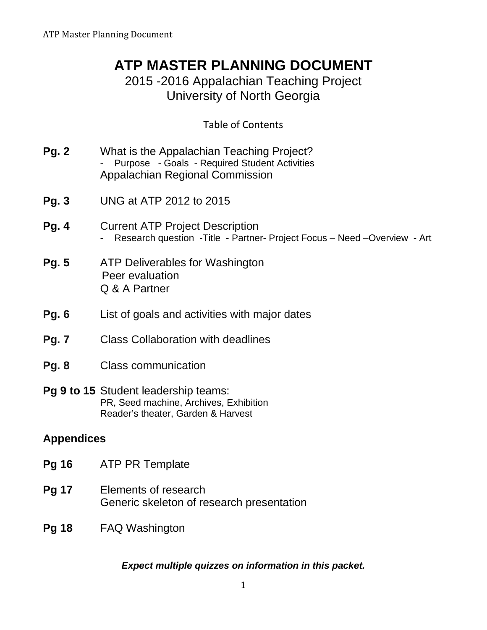# **ATP MASTER PLANNING DOCUMENT**

2015 -2016 Appalachian Teaching Project University of North Georgia

# Table of Contents

| <b>Pg. 2</b>      | What is the Appalachian Teaching Project?<br>Purpose - Goals - Required Student Activities<br>Appalachian Regional Commission |  |
|-------------------|-------------------------------------------------------------------------------------------------------------------------------|--|
| <b>Pg. 3</b>      | UNG at ATP 2012 to 2015                                                                                                       |  |
| <b>Pg. 4</b>      | <b>Current ATP Project Description</b><br>Research question - Title - Partner- Project Focus - Need - Overview - Art          |  |
| <b>Pg. 5</b>      | ATP Deliverables for Washington<br>Peer evaluation<br>Q & A Partner                                                           |  |
| <b>Pg. 6</b>      | List of goals and activities with major dates                                                                                 |  |
| <b>Pg. 7</b>      | <b>Class Collaboration with deadlines</b>                                                                                     |  |
| <b>Pg. 8</b>      | <b>Class communication</b>                                                                                                    |  |
|                   | <b>Pg 9 to 15</b> Student leadership teams:<br>PR, Seed machine, Archives, Exhibition<br>Reader's theater, Garden & Harvest   |  |
| <b>Appendices</b> |                                                                                                                               |  |
| <b>Pg 16</b>      | <b>ATP PR Template</b>                                                                                                        |  |
| <b>Pg 17</b>      | Elements of research<br>Generic skeleton of research presentation                                                             |  |
| <b>Pg 18</b>      | <b>FAQ Washington</b>                                                                                                         |  |

# *Expect multiple quizzes on information in this packet.*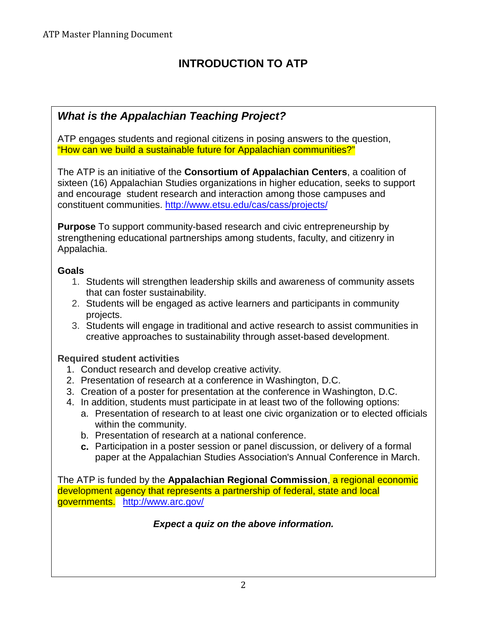# **INTRODUCTION TO ATP**

# *What is the Appalachian Teaching Project?*

ATP engages students and regional citizens in posing answers to the question, "How can we build a sustainable future for Appalachian communities?"

The ATP is an initiative of the **Consortium of Appalachian Centers**, a coalition of sixteen (16) Appalachian Studies organizations in higher education, seeks to support and encourage student research and interaction among those campuses and constituent communities.<http://www.etsu.edu/cas/cass/projects/>

**Purpose** To support community-based research and civic entrepreneurship by strengthening educational partnerships among students, faculty, and citizenry in Appalachia.

### **Goals**

- 1. Students will strengthen leadership skills and awareness of community assets that can foster sustainability.
- 2. Students will be engaged as active learners and participants in community projects.
- 3. Students will engage in traditional and active research to assist communities in creative approaches to sustainability through asset-based development.

# **Required student activities**

- 1. Conduct research and develop creative activity.
- 2. Presentation of research at a conference in Washington, D.C.
- 3. Creation of a poster for presentation at the conference in Washington, D.C.
- 4. In addition, students must participate in at least two of the following options:
	- a. Presentation of research to at least one civic organization or to elected officials within the community.
	- b. Presentation of research at a national conference.
	- **c.** Participation in a poster session or panel discussion, or delivery of a formal paper at the Appalachian Studies Association's Annual Conference in March.

The ATP is funded by the **Appalachian Regional Commission**, a regional economic development agency that represents a partnership of federal, state and local governments. <http://www.arc.gov/>

# *Expect a quiz on the above information.*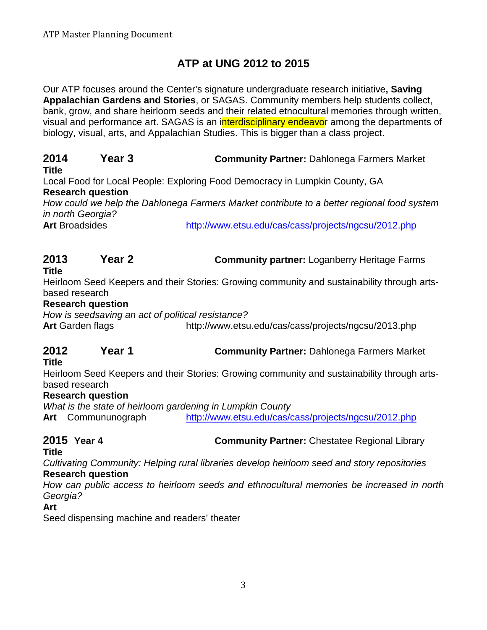# **ATP at UNG 2012 to 2015**

Our ATP focuses around the Center's signature undergraduate research initiative**, Saving Appalachian Gardens and Stories**, or SAGAS. Community members help students collect, bank, grow, and share heirloom seeds and their related etnocultural memories through written, visual and performance art. SAGAS is an interdisciplinary endeavor among the departments of biology, visual, arts, and Appalachian Studies. This is bigger than a class project.

# **2014 Year 3 Community Partner:** Dahlonega Farmers Market

### **Title**

Local Food for Local People: Exploring Food Democracy in Lumpkin County, GA **Research question** 

*How could we help the Dahlonega Farmers Market contribute to a better regional food system in north Georgia?*

Art Broadsides <http://www.etsu.edu/cas/cass/projects/ngcsu/2012.php>

# **2013 Year 2 Community partner:** Loganberry Heritage Farms

### **Title**

Heirloom Seed Keepers and their Stories: Growing community and sustainability through artsbased research

### **Research question**

*How is seedsaving an act of political resistance?*

Art Garden flags http://www.etsu.edu/cas/cass/projects/ngcsu/2013.php

# **2012 Year 1 Community Partner:** Dahlonega Farmers Market

# **Title**

Heirloom Seed Keepers and their Stories: Growing community and sustainability through artsbased research

### **Research question**

*What is the state of heirloom gardening in Lumpkin County* **Art** Commununograph <http://www.etsu.edu/cas/cass/projects/ngcsu/2012.php>

**2015 Year 4 Community Partner:** Chestatee Regional Library

# **Title**

*Cultivating Community: Helping rural libraries develop heirloom seed and story repositories* **Research question**

*How can public access to heirloom seeds and ethnocultural memories be increased in north Georgia?* 

### **Art**

Seed dispensing machine and readers' theater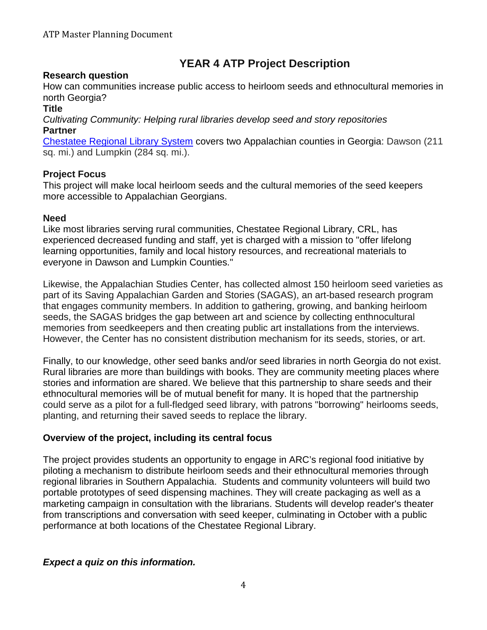# **YEAR 4 ATP Project Description**

### **Research question**

How can communities increase public access to heirloom seeds and ethnocultural memories in north Georgia?

### **Title**

*Cultivating Community: Helping rural libraries develop seed and story repositories* **Partner** 

[Chestatee Regional Library System](http://chestateelibrary.org/) covers two Appalachian counties in Georgia: Dawson (211 sq. mi.) and Lumpkin (284 sq. mi.).

### **Project Focus**

This project will make local heirloom seeds and the cultural memories of the seed keepers more accessible to Appalachian Georgians.

### **Need**

Like most libraries serving rural communities, Chestatee Regional Library, CRL, has experienced decreased funding and staff, yet is charged with a mission to "offer lifelong learning opportunities, family and local history resources, and recreational materials to everyone in Dawson and Lumpkin Counties."

Likewise, the Appalachian Studies Center, has collected almost 150 heirloom seed varieties as part of its Saving Appalachian Garden and Stories (SAGAS), an art-based research program that engages community members. In addition to gathering, growing, and banking heirloom seeds, the SAGAS bridges the gap between art and science by collecting enthnocultural memories from seedkeepers and then creating public art installations from the interviews. However, the Center has no consistent distribution mechanism for its seeds, stories, or art.

Finally, to our knowledge, other seed banks and/or seed libraries in north Georgia do not exist. Rural libraries are more than buildings with books. They are community meeting places where stories and information are shared. We believe that this partnership to share seeds and their ethnocultural memories will be of mutual benefit for many. It is hoped that the partnership could serve as a pilot for a full-fledged seed library, with patrons "borrowing" heirlooms seeds, planting, and returning their saved seeds to replace the library.

### **Overview of the project, including its central focus**

The project provides students an opportunity to engage in ARC's regional food initiative by piloting a mechanism to distribute heirloom seeds and their ethnocultural memories through regional libraries in Southern Appalachia. Students and community volunteers will build two portable prototypes of seed dispensing machines. They will create packaging as well as a marketing campaign in consultation with the librarians. Students will develop reader's theater from transcriptions and conversation with seed keeper, culminating in October with a public performance at both locations of the Chestatee Regional Library.

### *Expect a quiz on this information.*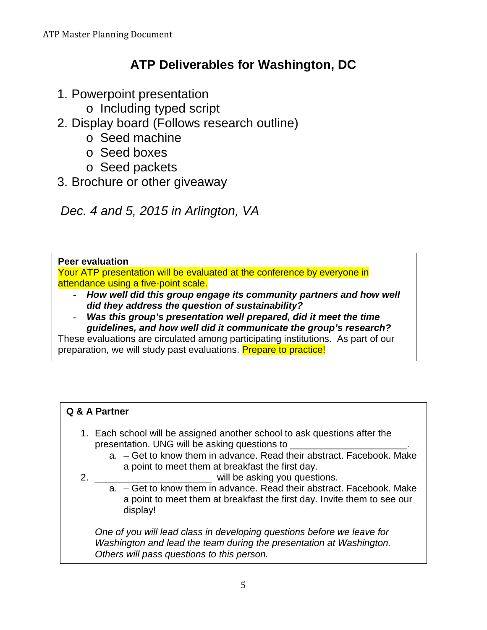# **ATP Deliverables for Washington, DC**

- 1. Powerpoint presentation
	- o Including typed script
- 2. Display board (Follows research outline)
	- o Seed machine
	- o Seed boxes
	- o Seed packets
- 3. Brochure or other giveaway

 *Dec. 4 and 5, 2015 in Arlington, VA*

### **Peer evaluation**

Your ATP presentation will be evaluated at the conference by everyone in attendance using a five-point scale.

- *How well did this group engage its community partners and how well did they address the question of sustainability?*
- *Was this group's presentation well prepared, did it meet the time guidelines, and how well did it communicate the group's research?*

These evaluations are circulated among participating institutions. As part of our preparation, we will study past evaluations. Prepare to practice!

# **Q & A Partner**

- 1. Each school will be assigned another school to ask questions after the presentation. UNG will be asking questions to
	- a. Get to know them in advance. Read their abstract. Facebook. Make a point to meet them at breakfast the first day.
- 2. **Example 2.** The solution of the asking you questions.
	- a. Get to know them in advance. Read their abstract. Facebook. Make a point to meet them at breakfast the first day. Invite them to see our display!

*One of you will lead class in developing questions before we leave for Washington and lead the team during the presentation at Washington. Others will pass questions to this person.*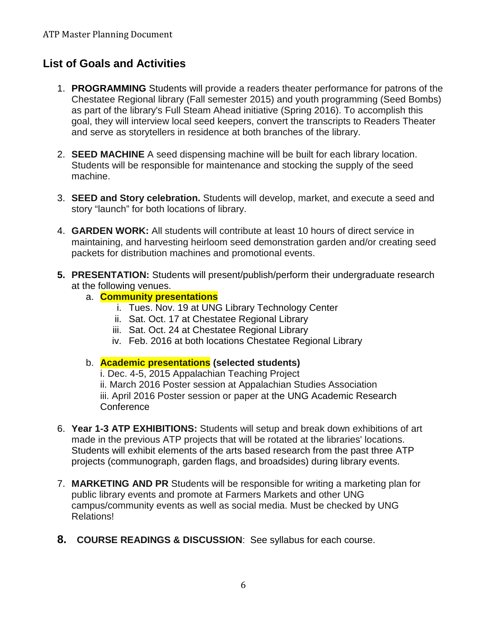# **List of Goals and Activities**

- 1. **PROGRAMMING** Students will provide a readers theater performance for patrons of the Chestatee Regional library (Fall semester 2015) and youth programming (Seed Bombs) as part of the library's Full Steam Ahead initiative (Spring 2016). To accomplish this goal, they will interview local seed keepers, convert the transcripts to Readers Theater and serve as storytellers in residence at both branches of the library.
- 2. **SEED MACHINE** A seed dispensing machine will be built for each library location. Students will be responsible for maintenance and stocking the supply of the seed machine.
- 3. **SEED and Story celebration.** Students will develop, market, and execute a seed and story "launch" for both locations of library.
- 4. **GARDEN WORK:** All students will contribute at least 10 hours of direct service in maintaining, and harvesting heirloom seed demonstration garden and/or creating seed packets for distribution machines and promotional events.
- **5. PRESENTATION:** Students will present/publish/perform their undergraduate research at the following venues.
	- a. **Community presentations** 
		- i. Tues. Nov. 19 at UNG Library Technology Center
		- ii. Sat. Oct. 17 at Chestatee Regional Library
		- iii. Sat. Oct. 24 at Chestatee Regional Library
		- iv. Feb. 2016 at both locations Chestatee Regional Library
	- b. **Academic presentations (selected students)**

i. Dec. 4-5, 2015 Appalachian Teaching Project ii. March 2016 Poster session at Appalachian Studies Association iii. April 2016 Poster session or paper at the UNG Academic Research **Conference** 

- 6. **Year 1-3 ATP EXHIBITIONS:** Students will setup and break down exhibitions of art made in the previous ATP projects that will be rotated at the libraries' locations. Students will exhibit elements of the arts based research from the past three ATP projects (communograph, garden flags, and broadsides) during library events.
- 7. **MARKETING AND PR** Students will be responsible for writing a marketing plan for public library events and promote at Farmers Markets and other UNG campus/community events as well as social media. Must be checked by UNG Relations!
- **8. COURSE READINGS & DISCUSSION**: See syllabus for each course.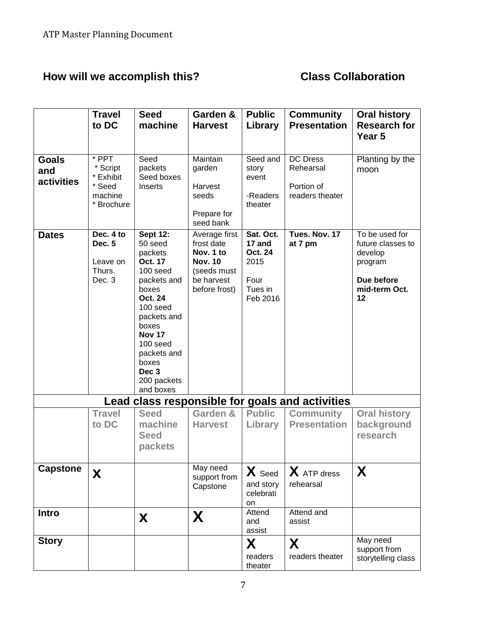# **How will we accomplish this? Class Collaboration**

|                                   | <b>Travel</b><br>to DC                                            | <b>Seed</b><br>machine                                                                                                                                                                                                        | Garden &<br><b>Harvest</b>                                                                               | <b>Public</b><br>Library                                                     | <b>Community</b><br><b>Presentation</b>                       | <b>Oral history</b><br><b>Research for</b><br>Year 5                                           |
|-----------------------------------|-------------------------------------------------------------------|-------------------------------------------------------------------------------------------------------------------------------------------------------------------------------------------------------------------------------|----------------------------------------------------------------------------------------------------------|------------------------------------------------------------------------------|---------------------------------------------------------------|------------------------------------------------------------------------------------------------|
| <b>Goals</b><br>and<br>activities | * PPT<br>* Script<br>* Exhibit<br>* Seed<br>machine<br>* Brochure | Seed<br>packets<br>Seed boxes<br>Inserts                                                                                                                                                                                      | Maintain<br>garden<br>Harvest<br>seeds<br>Prepare for<br>seed bank                                       | Seed and<br>story<br>event<br>-Readers<br>theater                            | <b>DC Dress</b><br>Rehearsal<br>Portion of<br>readers theater | Planting by the<br>moon                                                                        |
| <b>Dates</b>                      | Dec. 4 to<br>Dec. 5<br>Leave on<br>Thurs.<br>Dec. 3               | <b>Sept 12:</b><br>50 seed<br>packets<br>Oct. 17<br>100 seed<br>packets and<br>boxes<br>Oct. 24<br>100 seed<br>packets and<br>boxes<br><b>Nov 17</b><br>100 seed<br>packets and<br>boxes<br>Dec 3<br>200 packets<br>and boxes | Average first<br>frost date<br>Nov. 1 to<br><b>Nov. 10</b><br>(seeds must<br>be harvest<br>before frost) | Sat. Oct.<br>17 and<br><b>Oct. 24</b><br>2015<br>Four<br>Tues in<br>Feb 2016 | Tues. Nov. 17<br>at 7 pm                                      | To be used for<br>future classes to<br>develop<br>program<br>Due before<br>mid-term Oct.<br>12 |
|                                   |                                                                   |                                                                                                                                                                                                                               |                                                                                                          |                                                                              | Lead class responsible for goals and activities               |                                                                                                |
|                                   | <b>Travel</b><br>to DC                                            | <b>Seed</b><br>machine<br><b>Seed</b><br>packets                                                                                                                                                                              | Garden &<br><b>Harvest</b>                                                                               | <b>Public</b><br>Library                                                     | <b>Community</b><br><b>Presentation</b>                       | <b>Oral history</b><br>background<br>research                                                  |
| <b>Capstone</b>                   | X                                                                 |                                                                                                                                                                                                                               | May need<br>support from<br>Capstone                                                                     | X Seed<br>and story<br>celebrati<br>on                                       | X ATP dress<br>rehearsal                                      | X                                                                                              |
| <b>Intro</b>                      |                                                                   | X                                                                                                                                                                                                                             | X                                                                                                        | Attend<br>and<br>assist                                                      | Attend and<br>assist                                          |                                                                                                |
| <b>Story</b>                      |                                                                   |                                                                                                                                                                                                                               |                                                                                                          | X<br>readers<br>theater                                                      | X<br>readers theater                                          | May need<br>support from<br>storytelling class                                                 |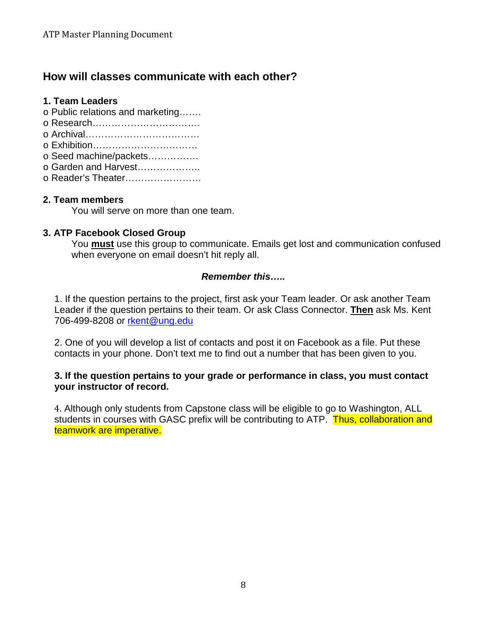# **How will classes communicate with each other?**

### **1. Team Leaders**

- o Public relations and marketing…….
- o Research…………………………….
- o Archival………………………………
- o Exhibition……………………………
- o Seed machine/packets…………….
- o Garden and Harvest………………..
- o Reader's Theater……………………

### **2. Team members**

You will serve on more than one team.

### **3. ATP Facebook Closed Group**

You **must** use this group to communicate. Emails get lost and communication confused when everyone on email doesn't hit reply all.

### *Remember this…..*

1. If the question pertains to the project, first ask your Team leader. Or ask another Team Leader if the question pertains to their team. Or ask Class Connector. **Then** ask Ms. Kent 706-499-8208 or [rkent@ung.edu](mailto:rkent@ung.edu)

2. One of you will develop a list of contacts and post it on Facebook as a file. Put these contacts in your phone. Don't text me to find out a number that has been given to you.

### **3. If the question pertains to your grade or performance in class, you must contact your instructor of record.**

4. Although only students from Capstone class will be eligible to go to Washington, ALL students in courses with GASC prefix will be contributing to ATP. Thus, collaboration and teamwork are imperative.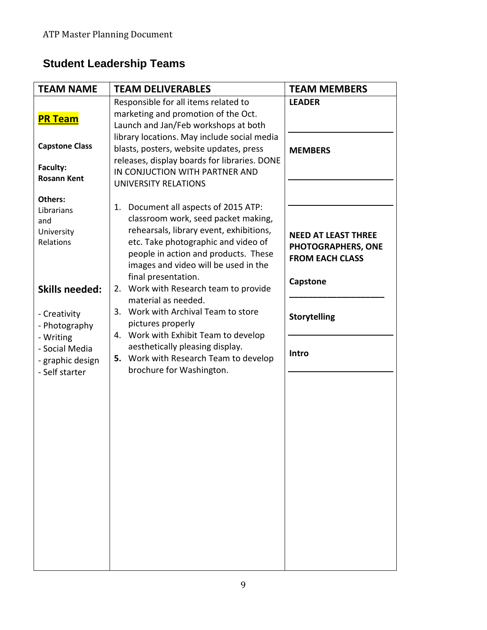# **Student Leadership Teams**

| <b>TEAM NAME</b>                                                  | <b>TEAM DELIVERABLES</b>                                                                                                                                                                                                                         | <b>TEAM MEMBERS</b>                                                        |
|-------------------------------------------------------------------|--------------------------------------------------------------------------------------------------------------------------------------------------------------------------------------------------------------------------------------------------|----------------------------------------------------------------------------|
| <b>PR Team</b>                                                    | Responsible for all items related to<br>marketing and promotion of the Oct.<br>Launch and Jan/Feb workshops at both                                                                                                                              | <b>LEADER</b>                                                              |
| <b>Capstone Class</b><br>Faculty:<br><b>Rosann Kent</b>           | library locations. May include social media<br>blasts, posters, website updates, press<br>releases, display boards for libraries. DONE<br>IN CONJUCTION WITH PARTNER AND<br>UNIVERSITY RELATIONS                                                 | <b>MEMBERS</b>                                                             |
| <b>Others:</b><br>Librarians<br>and<br>University<br>Relations    | Document all aspects of 2015 ATP:<br>1.<br>classroom work, seed packet making,<br>rehearsals, library event, exhibitions,<br>etc. Take photographic and video of<br>people in action and products. These<br>images and video will be used in the | <b>NEED AT LEAST THREE</b><br>PHOTOGRAPHERS, ONE<br><b>FROM EACH CLASS</b> |
| <b>Skills needed:</b><br>- Creativity<br>- Photography            | final presentation.<br>Work with Research team to provide<br>2.<br>material as needed.<br>Work with Archival Team to store<br>3.<br>pictures properly                                                                                            | Capstone<br><b>Storytelling</b>                                            |
| - Writing<br>- Social Media<br>- graphic design<br>- Self starter | 4. Work with Exhibit Team to develop<br>aesthetically pleasing display.<br>5. Work with Research Team to develop<br>brochure for Washington.                                                                                                     | Intro                                                                      |
|                                                                   |                                                                                                                                                                                                                                                  |                                                                            |
|                                                                   |                                                                                                                                                                                                                                                  |                                                                            |
|                                                                   |                                                                                                                                                                                                                                                  |                                                                            |
|                                                                   |                                                                                                                                                                                                                                                  |                                                                            |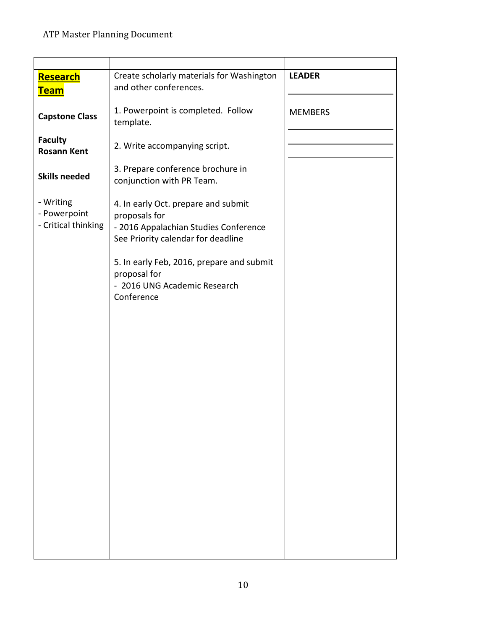| <b>Research</b><br><u>Team</u>                   | Create scholarly materials for Washington<br>and other conferences.                                                                 | <b>LEADER</b>  |
|--------------------------------------------------|-------------------------------------------------------------------------------------------------------------------------------------|----------------|
| <b>Capstone Class</b>                            | 1. Powerpoint is completed. Follow<br>template.                                                                                     | <b>MEMBERS</b> |
| <b>Faculty</b><br><b>Rosann Kent</b>             | 2. Write accompanying script.                                                                                                       |                |
| <b>Skills needed</b>                             | 3. Prepare conference brochure in<br>conjunction with PR Team.                                                                      |                |
| - Writing<br>- Powerpoint<br>- Critical thinking | 4. In early Oct. prepare and submit<br>proposals for<br>- 2016 Appalachian Studies Conference<br>See Priority calendar for deadline |                |
|                                                  | 5. In early Feb, 2016, prepare and submit<br>proposal for<br>- 2016 UNG Academic Research<br>Conference                             |                |
|                                                  |                                                                                                                                     |                |
|                                                  |                                                                                                                                     |                |
|                                                  |                                                                                                                                     |                |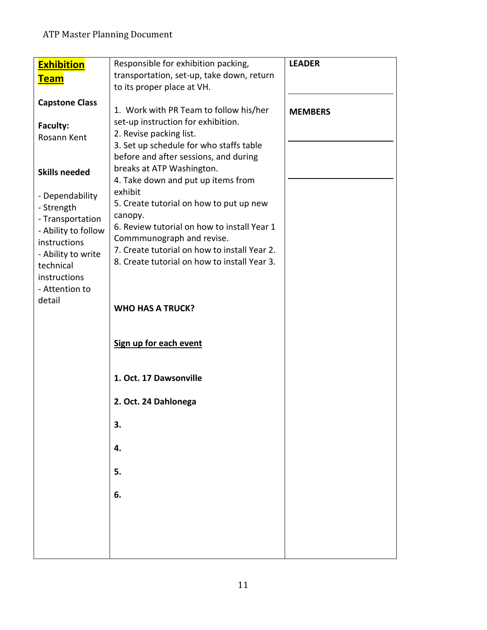| <b>Exhibition</b>                                                                                                                                    | Responsible for exhibition packing,                                                                                                                                                                                                                                       | <b>LEADER</b>  |
|------------------------------------------------------------------------------------------------------------------------------------------------------|---------------------------------------------------------------------------------------------------------------------------------------------------------------------------------------------------------------------------------------------------------------------------|----------------|
| <b>Team</b>                                                                                                                                          | transportation, set-up, take down, return                                                                                                                                                                                                                                 |                |
|                                                                                                                                                      | to its proper place at VH.                                                                                                                                                                                                                                                |                |
| <b>Capstone Class</b><br><b>Faculty:</b><br>Rosann Kent<br><b>Skills needed</b><br>- Dependability                                                   | 1. Work with PR Team to follow his/her<br>set-up instruction for exhibition.<br>2. Revise packing list.<br>3. Set up schedule for who staffs table<br>before and after sessions, and during<br>breaks at ATP Washington.<br>4. Take down and put up items from<br>exhibit | <b>MEMBERS</b> |
| - Strength<br>- Transportation<br>- Ability to follow<br>instructions<br>- Ability to write<br>technical<br>instructions<br>- Attention to<br>detail | 5. Create tutorial on how to put up new<br>canopy.<br>6. Review tutorial on how to install Year 1<br>Commmunograph and revise.<br>7. Create tutorial on how to install Year 2.<br>8. Create tutorial on how to install Year 3.                                            |                |
|                                                                                                                                                      | <b>WHO HAS A TRUCK?</b><br>Sign up for each event                                                                                                                                                                                                                         |                |
|                                                                                                                                                      | 1. Oct. 17 Dawsonville                                                                                                                                                                                                                                                    |                |
|                                                                                                                                                      | 2. Oct. 24 Dahlonega                                                                                                                                                                                                                                                      |                |
|                                                                                                                                                      | 3.                                                                                                                                                                                                                                                                        |                |
|                                                                                                                                                      | 4.                                                                                                                                                                                                                                                                        |                |
|                                                                                                                                                      | 5.                                                                                                                                                                                                                                                                        |                |
|                                                                                                                                                      | 6.                                                                                                                                                                                                                                                                        |                |
|                                                                                                                                                      |                                                                                                                                                                                                                                                                           |                |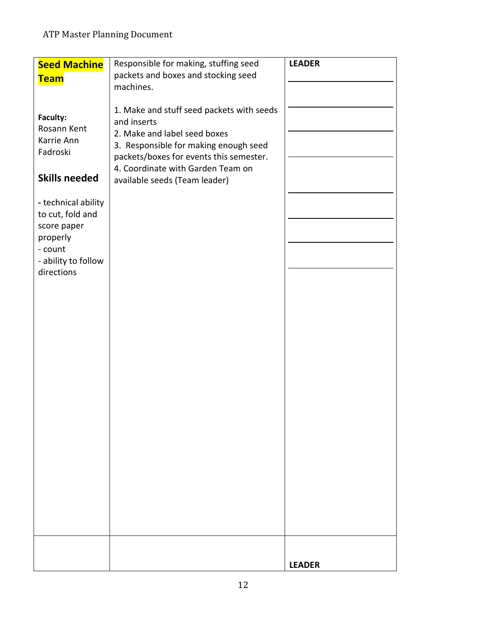| <b>Seed Machine</b><br><b>Team</b>                                                                                 | Responsible for making, stuffing seed<br>packets and boxes and stocking seed                                                                                                                                                                       | <b>LEADER</b> |
|--------------------------------------------------------------------------------------------------------------------|----------------------------------------------------------------------------------------------------------------------------------------------------------------------------------------------------------------------------------------------------|---------------|
|                                                                                                                    | machines.                                                                                                                                                                                                                                          |               |
| Faculty:<br>Rosann Kent<br>Karrie Ann<br>Fadroski<br><b>Skills needed</b>                                          | 1. Make and stuff seed packets with seeds<br>and inserts<br>2. Make and label seed boxes<br>3. Responsible for making enough seed<br>packets/boxes for events this semester.<br>4. Coordinate with Garden Team on<br>available seeds (Team leader) |               |
| - technical ability<br>to cut, fold and<br>score paper<br>properly<br>- count<br>- ability to follow<br>directions |                                                                                                                                                                                                                                                    |               |
|                                                                                                                    |                                                                                                                                                                                                                                                    | <b>LEADER</b> |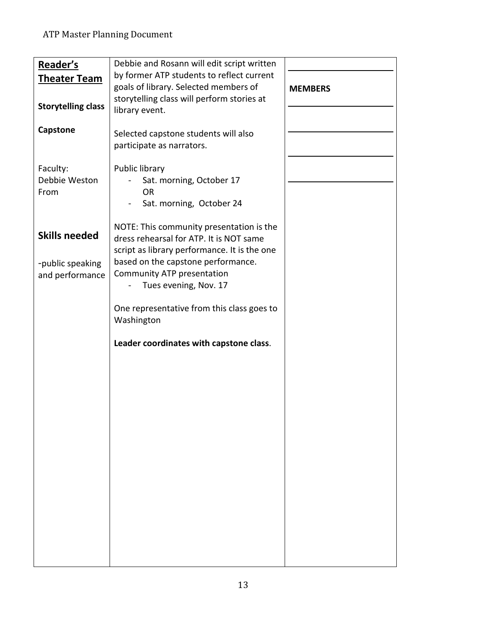| Reader's                  | Debbie and Rosann will edit script written   |                |
|---------------------------|----------------------------------------------|----------------|
|                           | by former ATP students to reflect current    |                |
| <u>Theater Team</u>       |                                              |                |
|                           | goals of library. Selected members of        | <b>MEMBERS</b> |
| <b>Storytelling class</b> | storytelling class will perform stories at   |                |
|                           | library event.                               |                |
|                           |                                              |                |
| <b>Capstone</b>           | Selected capstone students will also         |                |
|                           | participate as narrators.                    |                |
|                           |                                              |                |
| Faculty:                  | Public library                               |                |
| Debbie Weston             | Sat. morning, October 17                     |                |
| From                      | <b>OR</b>                                    |                |
|                           |                                              |                |
|                           | Sat. morning, October 24                     |                |
|                           |                                              |                |
| <b>Skills needed</b>      | NOTE: This community presentation is the     |                |
|                           | dress rehearsal for ATP. It is NOT same      |                |
|                           | script as library performance. It is the one |                |
| -public speaking          | based on the capstone performance.           |                |
| and performance           | Community ATP presentation                   |                |
|                           | Tues evening, Nov. 17                        |                |
|                           |                                              |                |
|                           | One representative from this class goes to   |                |
|                           | Washington                                   |                |
|                           |                                              |                |
|                           | Leader coordinates with capstone class.      |                |
|                           |                                              |                |
|                           |                                              |                |
|                           |                                              |                |
|                           |                                              |                |
|                           |                                              |                |
|                           |                                              |                |
|                           |                                              |                |
|                           |                                              |                |
|                           |                                              |                |
|                           |                                              |                |
|                           |                                              |                |
|                           |                                              |                |
|                           |                                              |                |
|                           |                                              |                |
|                           |                                              |                |
|                           |                                              |                |
|                           |                                              |                |
|                           |                                              |                |
|                           |                                              |                |
|                           |                                              |                |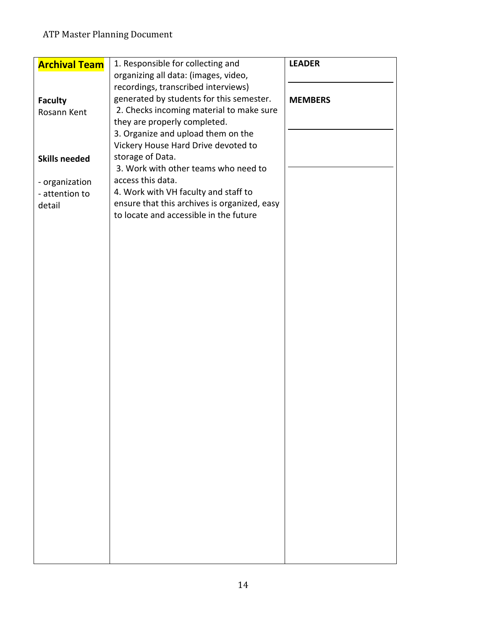| <b>Archival Team</b> | 1. Responsible for collecting and            | <b>LEADER</b>  |
|----------------------|----------------------------------------------|----------------|
|                      | organizing all data: (images, video,         |                |
|                      | recordings, transcribed interviews)          |                |
| <b>Faculty</b>       | generated by students for this semester.     | <b>MEMBERS</b> |
| Rosann Kent          | 2. Checks incoming material to make sure     |                |
|                      | they are properly completed.                 |                |
|                      | 3. Organize and upload them on the           |                |
|                      | Vickery House Hard Drive devoted to          |                |
|                      | storage of Data.                             |                |
| <b>Skills needed</b> | 3. Work with other teams who need to         |                |
|                      | access this data.                            |                |
| - organization       |                                              |                |
| - attention to       | 4. Work with VH faculty and staff to         |                |
| detail               | ensure that this archives is organized, easy |                |
|                      | to locate and accessible in the future       |                |
|                      |                                              |                |
|                      |                                              |                |
|                      |                                              |                |
|                      |                                              |                |
|                      |                                              |                |
|                      |                                              |                |
|                      |                                              |                |
|                      |                                              |                |
|                      |                                              |                |
|                      |                                              |                |
|                      |                                              |                |
|                      |                                              |                |
|                      |                                              |                |
|                      |                                              |                |
|                      |                                              |                |
|                      |                                              |                |
|                      |                                              |                |
|                      |                                              |                |
|                      |                                              |                |
|                      |                                              |                |
|                      |                                              |                |
|                      |                                              |                |
|                      |                                              |                |
|                      |                                              |                |
|                      |                                              |                |
|                      |                                              |                |
|                      |                                              |                |
|                      |                                              |                |
|                      |                                              |                |
|                      |                                              |                |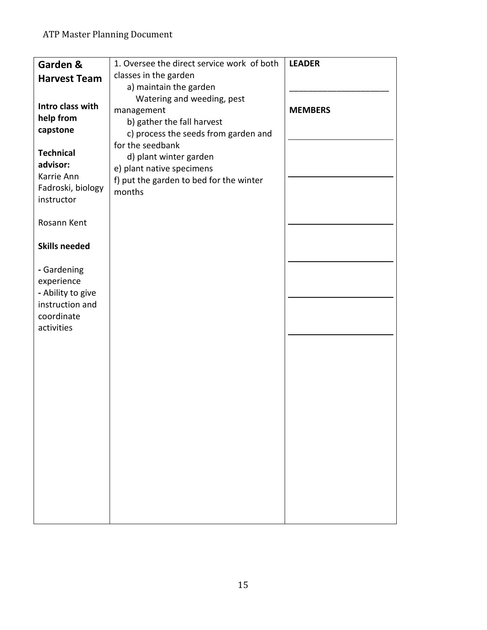| Garden &             | 1. Oversee the direct service work of both | <b>LEADER</b>  |
|----------------------|--------------------------------------------|----------------|
| <b>Harvest Team</b>  | classes in the garden                      |                |
|                      | a) maintain the garden                     |                |
|                      | Watering and weeding, pest                 |                |
| Intro class with     | management                                 | <b>MEMBERS</b> |
| help from            | b) gather the fall harvest                 |                |
| capstone             | c) process the seeds from garden and       |                |
|                      | for the seedbank                           |                |
| <b>Technical</b>     | d) plant winter garden                     |                |
| advisor:             | e) plant native specimens                  |                |
| Karrie Ann           | f) put the garden to bed for the winter    |                |
| Fadroski, biology    | months                                     |                |
| instructor           |                                            |                |
|                      |                                            |                |
| Rosann Kent          |                                            |                |
|                      |                                            |                |
| <b>Skills needed</b> |                                            |                |
|                      |                                            |                |
| - Gardening          |                                            |                |
| experience           |                                            |                |
| - Ability to give    |                                            |                |
| instruction and      |                                            |                |
| coordinate           |                                            |                |
| activities           |                                            |                |
|                      |                                            |                |
|                      |                                            |                |
|                      |                                            |                |
|                      |                                            |                |
|                      |                                            |                |
|                      |                                            |                |
|                      |                                            |                |
|                      |                                            |                |
|                      |                                            |                |
|                      |                                            |                |
|                      |                                            |                |
|                      |                                            |                |
|                      |                                            |                |
|                      |                                            |                |
|                      |                                            |                |
|                      |                                            |                |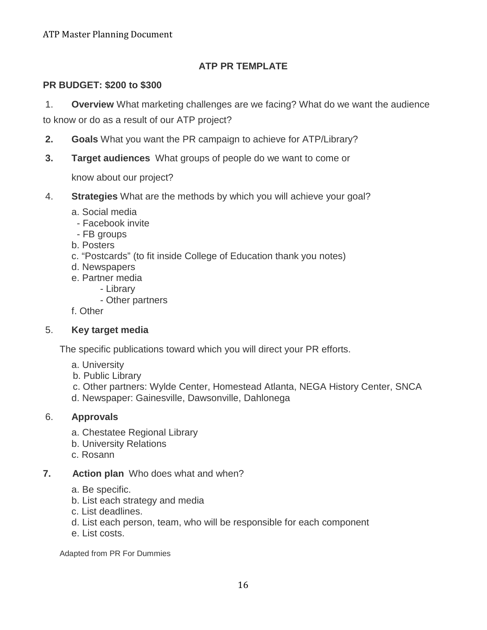# **ATP PR TEMPLATE**

### **PR BUDGET: \$200 to \$300**

1. **Overview** What marketing challenges are we facing? What do we want the audience

to know or do as a result of our ATP project?

- **2. Goals** What you want the PR campaign to achieve for ATP/Library?
- **3. Target audiences** What groups of people do we want to come or

know about our project?

- 4. **Strategies** What are the methods by which you will achieve your goal?
	- a. Social media
	- Facebook invite
	- FB groups
	- b. Posters
	- c. "Postcards" (to fit inside College of Education thank you notes)
	- d. Newspapers
	- e. Partner media
		- Library
			- Other partners
	- f. Other

### 5. **Key target media**

The specific publications toward which you will direct your PR efforts.

- a. University
- b. Public Library
- c. Other partners: Wylde Center, Homestead Atlanta, NEGA History Center, SNCA
- d. Newspaper: Gainesville, Dawsonville, Dahlonega

### 6. **Approvals**

- a. Chestatee Regional Library
- b. University Relations
- c. Rosann
- **7. Action plan** Who does what and when?
	- a. Be specific.
	- b. List each strategy and media
	- c. List deadlines.
	- d. List each person, team, who will be responsible for each component
	- e. List costs.

Adapted from PR For Dummies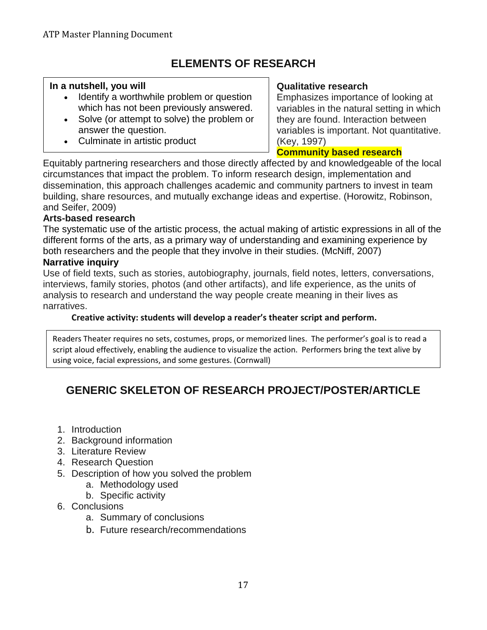# **ELEMENTS OF RESEARCH**

### **In a nutshell, you will**

- Identify a worthwhile problem or question which has not been previously answered.
- Solve (or attempt to solve) the problem or answer the question.
- Culminate in artistic product

### **Qualitative research**

Emphasizes importance of looking at variables in the natural setting in which they are found. Interaction between variables is important. Not quantitative. (Key, 1997)

**Community based research**

Equitably partnering researchers and those directly affected by and knowledgeable of the local circumstances that impact the problem. To inform research design, implementation and dissemination, this approach challenges academic and community partners to invest in team building, share resources, and mutually exchange ideas and expertise. (Horowitz, Robinson, and Seifer, 2009)

### **Arts-based research**

The systematic use of the artistic process, the actual making of artistic expressions in all of the different forms of the arts, as a primary way of understanding and examining experience by both researchers and the people that they involve in their studies. (McNiff, 2007) **Narrative inquiry**

Use of field texts, such as stories, autobiography, journals, field notes, letters, conversations, interviews, family stories, photos (and other artifacts), and life experience, as the units of analysis to research and understand the way people create meaning in their lives as narratives.

### **Creative activity: students will develop a reader's theater script and perform.**

Readers Theater requires no sets, costumes, props, or memorized lines. The performer's goal is to read a script aloud effectively, enabling the audience to visualize the action. Performers bring the text alive by using voice, facial expressions, and some gestures. (Cornwall)

# **GENERIC SKELETON OF RESEARCH PROJECT/POSTER/ARTICLE**

- 1. Introduction
- 2. Background information
- 3. Literature Review
- 4. Research Question
- 5. Description of how you solved the problem
	- a. Methodology used
	- b. Specific activity
- 6. Conclusions
	- a. Summary of conclusions
	- b. Future research/recommendations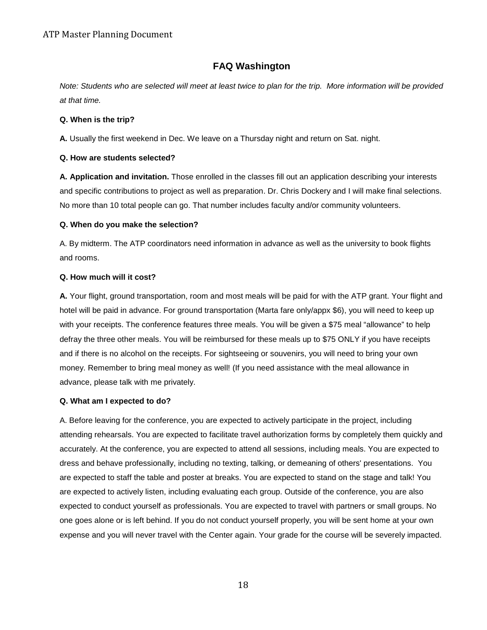### **FAQ Washington**

*Note: Students who are selected will meet at least twice to plan for the trip. More information will be provided at that time.*

#### **Q. When is the trip?**

**A.** Usually the first weekend in Dec. We leave on a Thursday night and return on Sat. night.

### **Q. How are students selected?**

**A. Application and invitation.** Those enrolled in the classes fill out an application describing your interests and specific contributions to project as well as preparation. Dr. Chris Dockery and I will make final selections. No more than 10 total people can go. That number includes faculty and/or community volunteers.

### **Q. When do you make the selection?**

A. By midterm. The ATP coordinators need information in advance as well as the university to book flights and rooms.

### **Q. How much will it cost?**

**A.** Your flight, ground transportation, room and most meals will be paid for with the ATP grant. Your flight and hotel will be paid in advance. For ground transportation (Marta fare only/appx \$6), you will need to keep up with your receipts. The conference features three meals. You will be given a \$75 meal "allowance" to help defray the three other meals. You will be reimbursed for these meals up to \$75 ONLY if you have receipts and if there is no alcohol on the receipts. For sightseeing or souvenirs, you will need to bring your own money. Remember to bring meal money as well! (If you need assistance with the meal allowance in advance, please talk with me privately.

#### **Q. What am I expected to do?**

A. Before leaving for the conference, you are expected to actively participate in the project, including attending rehearsals. You are expected to facilitate travel authorization forms by completely them quickly and accurately. At the conference, you are expected to attend all sessions, including meals. You are expected to dress and behave professionally, including no texting, talking, or demeaning of others' presentations. You are expected to staff the table and poster at breaks. You are expected to stand on the stage and talk! You are expected to actively listen, including evaluating each group. Outside of the conference, you are also expected to conduct yourself as professionals. You are expected to travel with partners or small groups. No one goes alone or is left behind. If you do not conduct yourself properly, you will be sent home at your own expense and you will never travel with the Center again. Your grade for the course will be severely impacted.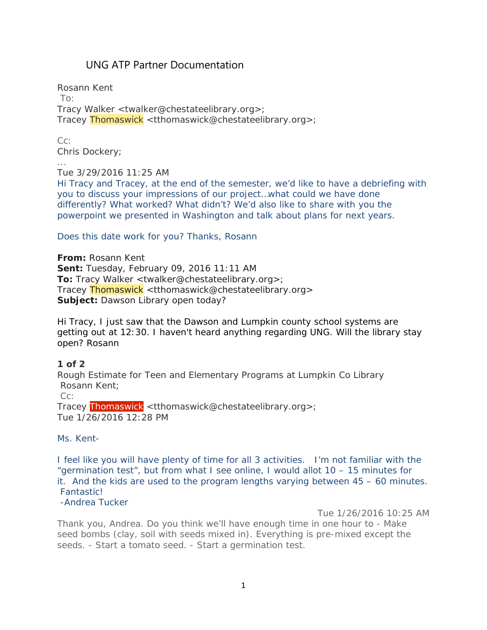# UNG ATP Partner Documentation

Rosann Kent To: Tracy Walker <twalker@chestateelibrary.org>; Tracey Thomaswick <tthomaswick@chestateelibrary.org>;

Cc: Chris Dockery;

...

Tue 3/29/2016 11:25 AM

Hi Tracy and Tracey, at the end of the semester, we'd like to have a debriefing with you to discuss your impressions of our project…what could we have done differently? What worked? What didn't? We'd also like to share with you the powerpoint we presented in Washington and talk about plans for next years.

### Does this date work for you? Thanks, Rosann

**From:** Rosann Kent **Sent:** Tuesday, February 09, 2016 11:11 AM **To:** Tracy Walker <twalker@chestateelibrary.org>; Tracey Thomaswick <tthomaswick@chestateelibrary.org> **Subject:** Dawson Library open today?

Hi Tracy, I just saw that the Dawson and Lumpkin county school systems are getting out at 12:30. I haven't heard anything regarding UNG. Will the library stay open? Rosann

### **1 of 2**

Rough Estimate for Teen and Elementary Programs at Lumpkin Co Library Rosann Kent;

Cc:

Tracey Thomaswick <tthomaswick@chestateelibrary.org>; Tue 1/26/2016 12:28 PM

### Ms. Kent-

I feel like you will have plenty of time for all 3 activities. I'm not familiar with the "germination test", but from what I see online, I would allot 10 – 15 minutes for it. And the kids are used to the program lengths varying between 45 – 60 minutes. Fantastic!

### -Andrea Tucker

Tue 1/26/2016 10:25 AM

Thank you, Andrea. Do you think we'll have enough time in one hour to - Make seed bombs (clay, soil with seeds mixed in). Everything is pre-mixed except the seeds. - Start a tomato seed. - Start a germination test.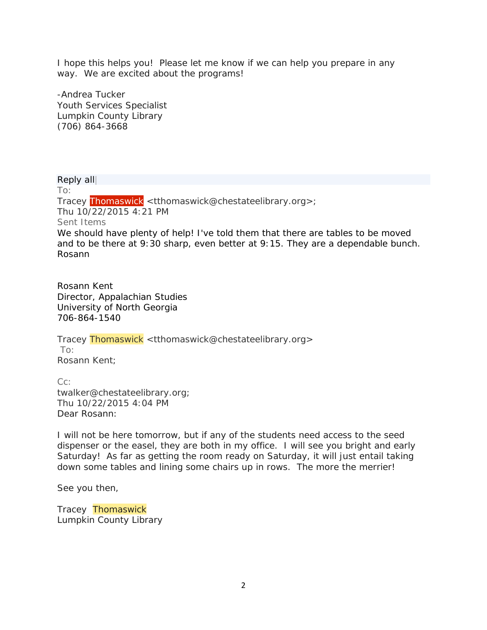I hope this helps you! Please let me know if we can help you prepare in any way. We are excited about the programs!

-Andrea Tucker Youth Services Specialist Lumpkin County Library (706) 864-3668

Reply all| To: Tracey Thomaswick <tthomaswick@chestateelibrary.org>; Thu 10/22/2015 4:21 PM Sent Items We should have plenty of help! I've told them that there are tables to be moved and to be there at 9:30 sharp, even better at 9:15. They are a dependable bunch. Rosann

Rosann Kent Director, Appalachian Studies University of North Georgia 706-864-1540

Tracey Thomaswick <tthomaswick@chestateelibrary.org> To: Rosann Kent;

Cc: twalker@chestateelibrary.org; Thu 10/22/2015 4:04 PM Dear Rosann:

I will not be here tomorrow, but if any of the students need access to the seed dispenser or the easel, they are both in my office. I will see you bright and early Saturday! As far as getting the room ready on Saturday, it will just entail taking down some tables and lining some chairs up in rows. The more the merrier!

See you then,

Tracey Thomaswick Lumpkin County Library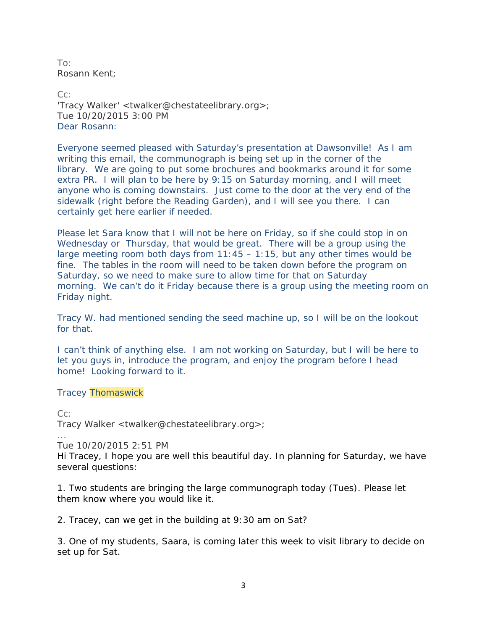To: Rosann Kent;

Cc: 'Tracy Walker' <twalker@chestateelibrary.org>; Tue 10/20/2015 3:00 PM Dear Rosann:

Everyone seemed pleased with Saturday's presentation at Dawsonville! As I am writing this email, the communograph is being set up in the corner of the library. We are going to put some brochures and bookmarks around it for some extra PR. I will plan to be here by 9:15 on Saturday morning, and I will meet anyone who is coming downstairs. Just come to the door at the very end of the sidewalk (right before the Reading Garden), and I will see you there. I can certainly get here earlier if needed.

Please let Sara know that I will not be here on Friday, so if she could stop in on Wednesday or Thursday, that would be great. There will be a group using the large meeting room both days from  $11:45 - 1:15$ , but any other times would be fine. The tables in the room will need to be taken down before the program on Saturday, so we need to make sure to allow time for that on Saturday morning. We can't do it Friday because there is a group using the meeting room on Friday night.

Tracy W. had mentioned sending the seed machine up, so I will be on the lookout for that.

I can't think of anything else. I am not working on Saturday, but I will be here to let you guys in, introduce the program, and enjoy the program before I head home! Looking forward to it.

#### Tracey Thomaswick

Cc: Tracy Walker <twalker@chestateelibrary.org>;

... Tue 10/20/2015 2:51 PM

Hi Tracey, I hope you are well this beautiful day. In planning for Saturday, we have several questions:

1. Two students are bringing the large communograph today (Tues). Please let them know where you would like it.

2. Tracey, can we get in the building at 9:30 am on Sat?

3. One of my students, Saara, is coming later this week to visit library to decide on set up for Sat.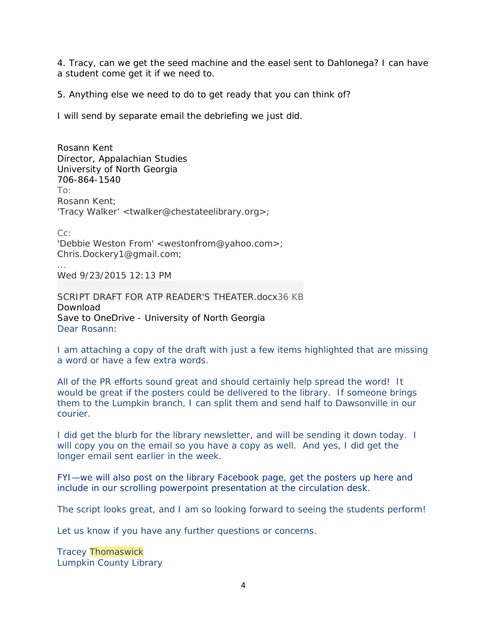4. Tracy, can we get the seed machine and the easel sent to Dahlonega? I can have a student come get it if we need to.

5. Anything else we need to do to get ready that you can think of?

I will send by separate email the debriefing we just did.

Rosann Kent Director, Appalachian Studies University of North Georgia 706-864-1540  $T\Omega$ Rosann Kent; 'Tracy Walker' <twalker@chestateelibrary.org>;

Cc:

'Debbie Weston From' <westonfrom@yahoo.com>; Chris.Dockery1@gmail.com;

... Wed 9/23/2015 12:13 PM

SCRIPT DRAFT FOR ATP READER'S [THEATER.docx36](https://outlook.office.com/owa/service.svc/s/GetFileAttachment?id=AAMkADgxNWQ0NDljLWI1ZTctNDU3Mi05MDBlLWU1MDA5ZjcyODVlYQBGAAAAAAAKPq4DHvs%2BQrB%2BXSbZt6VqBwBMwfTNuLmBQol8QRiRMXYwAAAAi9sTAAALh5nqFhTLRKZ%2BGcRK3ZQzAAEMjir2AAABEgAQAFAZgxJXuzBJoLZlWVRLw1k%3D&X-OWA-CANARY=AqIdsFeqfUGmJHARYDmc_lDajgZMWtMYoEoNPjMuXONk0XcMStmGpS5OFC1qVMuudtn1YGax4SU.) KB Download Save to OneDrive - University of North Georgia Dear Rosann:

I am attaching a copy of the draft with just a few items highlighted that are missing a word or have a few extra words.

All of the PR efforts sound great and should certainly help spread the word! It would be great if the posters could be delivered to the library. If someone brings them to the Lumpkin branch, I can split them and send half to Dawsonville in our courier.

I did get the blurb for the library newsletter, and will be sending it down today. I will copy you on the email so you have a copy as well. And yes, I did get the longer email sent earlier in the week.

FYI—we will also post on the library Facebook page, get the posters up here and include in our scrolling powerpoint presentation at the circulation desk.

The script looks great, and I am so looking forward to seeing the students perform!

Let us know if you have any further questions or concerns.

Tracey Thomaswick Lumpkin County Library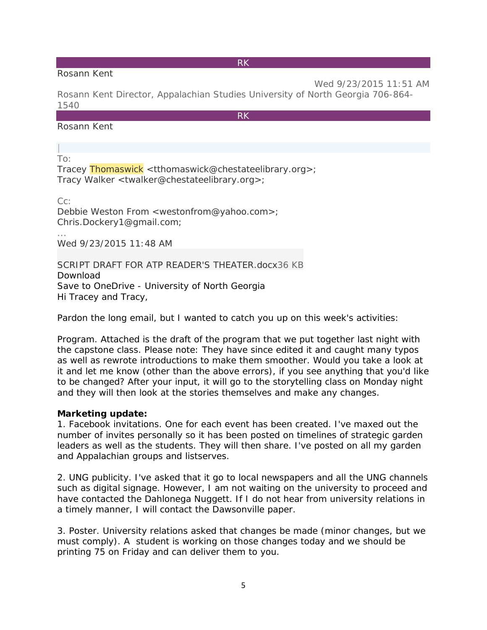### Rosann Kent

RK

Wed 9/23/2015 11:51 AM Rosann Kent Director, Appalachian Studies University of North Georgia 706-864- 1540

RK

### Rosann Kent

| To:

...

Tracey Thomaswick <tthomaswick@chestateelibrary.org>; Tracy Walker <twalker@chestateelibrary.org>;

Cc: Debbie Weston From <westonfrom@yahoo.com>; Chris.Dockery1@gmail.com;

Wed 9/23/2015 11:48 AM

SCRIPT DRAFT FOR ATP READER'S [THEATER.docx36](https://outlook.office.com/owa/service.svc/s/GetFileAttachment?id=AAMkADgxNWQ0NDljLWI1ZTctNDU3Mi05MDBlLWU1MDA5ZjcyODVlYQBGAAAAAAAKPq4DHvs%2BQrB%2BXSbZt6VqBwBMwfTNuLmBQol8QRiRMXYwAAAAi9sVAAALh5nqFhTLRKZ%2BGcRK3ZQzAAEMjjpgAAABEgAQAEW%2BO%2BQ70ZRPqJXD%2FtjNvPQ%3D&X-OWA-CANARY=AqIdsFeqfUGmJHARYDmc_lDajgZMWtMYoEoNPjMuXONk0XcMStmGpS5OFC1qVMuudtn1YGax4SU.) KB Download Save to OneDrive - University of North Georgia Hi Tracey and Tracy,

Pardon the long email, but I wanted to catch you up on this week's activities:

Program. Attached is the draft of the program that we put together last night with the capstone class. Please note: They have since edited it and caught many typos as well as rewrote introductions to make them smoother. Would you take a look at it and let me know (other than the above errors), if you see anything that you'd like to be changed? After your input, it will go to the storytelling class on Monday night and they will then look at the stories themselves and make any changes.

#### **Marketing update:**

1. Facebook invitations. One for each event has been created. I've maxed out the number of invites personally so it has been posted on timelines of strategic garden leaders as well as the students. They will then share. I've posted on all my garden and Appalachian groups and listserves.

2. UNG publicity. I've asked that it go to local newspapers and all the UNG channels such as digital signage. However, I am not waiting on the university to proceed and have contacted the Dahlonega Nuggett. If I do not hear from university relations in a timely manner, I will contact the Dawsonville paper.

3. Poster. University relations asked that changes be made (minor changes, but we must comply). A student is working on those changes today and we should be printing 75 on Friday and can deliver them to you.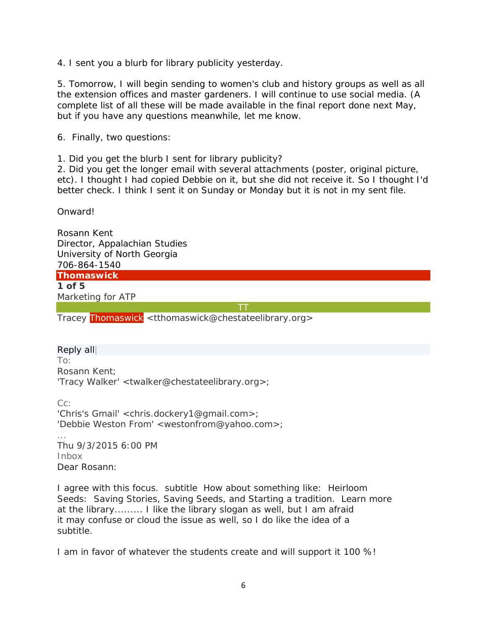4. I sent you a blurb for library publicity yesterday.

5. Tomorrow, I will begin sending to women's club and history groups as well as all the extension offices and master gardeners. I will continue to use social media. (A complete list of all these will be made available in the final report done next May, but if you have any questions meanwhile, let me know.

6. Finally, two questions:

1. Did you get the blurb I sent for library publicity?

2. Did you get the longer email with several attachments (poster, original picture, etc). I thought I had copied Debbie on it, but she did not receive it. So I thought I'd better check. I think I sent it on Sunday or Monday but it is not in my sent file.

Onward!

Rosann Kent Director, Appalachian Studies University of North Georgia 706-864-1540

**Thomaswick 1 of 5** Marketing for ATP

TT

Tracey Thomaswick <tthomaswick@chestateelibrary.org>

### Reply all|

To: Rosann Kent; 'Tracy Walker' <twalker@chestateelibrary.org>;

Cc: 'Chris's Gmail' <chris.dockery1@gmail.com>; 'Debbie Weston From' <westonfrom@yahoo.com>; ... Thu 9/3/2015 6:00 PM Inbox Dear Rosann:

I agree with this focus. subtitle How about something like: Heirloom Seeds: Saving Stories, Saving Seeds, and Starting a tradition. Learn more at the library......... I like the library slogan as well, but I am afraid it may confuse or cloud the issue as well, so I do like the idea of a subtitle.

I am in favor of whatever the students create and will support it 100 %!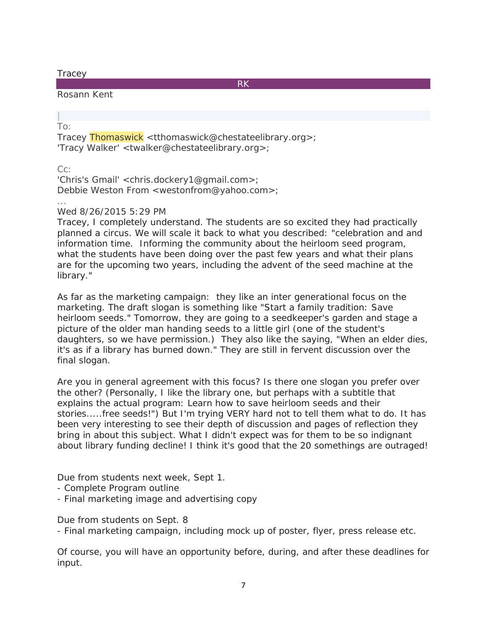### **Tracey**

RK

### Rosann Kent

| To:

Tracey Thomaswick <tthomaswick@chestateelibrary.org>; 'Tracy Walker' <twalker@chestateelibrary.org>;

Cc:

'Chris's Gmail' <chris.dockery1@gmail.com>; Debbie Weston From <westonfrom@yahoo.com>;

... Wed 8/26/2015 5:29 PM

Tracey, I completely understand. The students are so excited they had practically planned a circus. We will scale it back to what you described: "celebration and and information time. Informing the community about the heirloom seed program, what the students have been doing over the past few years and what their plans are for the upcoming two years, including the advent of the seed machine at the library."

As far as the marketing campaign: they like an inter generational focus on the marketing. The draft slogan is something like "Start a family tradition: Save heirloom seeds." Tomorrow, they are going to a seedkeeper's garden and stage a picture of the older man handing seeds to a little girl (one of the student's daughters, so we have permission.) They also like the saying, "When an elder dies, it's as if a library has burned down." They are still in fervent discussion over the final slogan.

Are you in general agreement with this focus? Is there one slogan you prefer over the other? (Personally, I like the library one, but perhaps with a subtitle that explains the actual program: Learn how to save heirloom seeds and their stories.....free seeds!") But I'm trying VERY hard not to tell them what to do. It has been very interesting to see their depth of discussion and pages of reflection they bring in about this subject. What I didn't expect was for them to be so indignant about library funding decline! I think it's good that the 20 somethings are outraged!

Due from students next week, Sept 1.

- Complete Program outline
- Final marketing image and advertising copy

Due from students on Sept. 8

- Final marketing campaign, including mock up of poster, flyer, press release etc.

Of course, you will have an opportunity before, during, and after these deadlines for input.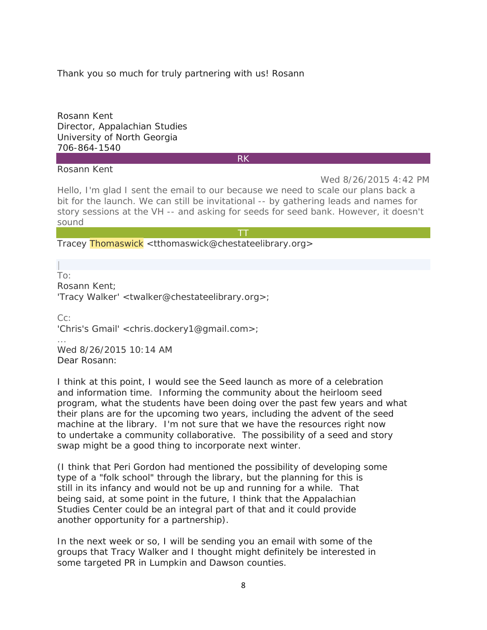Thank you so much for truly partnering with us! Rosann

Rosann Kent Director, Appalachian Studies University of North Georgia 706-864-1540

Rosann Kent

RK

Wed 8/26/2015 4:42 PM Hello, I'm glad I sent the email to our because we need to scale our plans back a bit for the launch. We can still be invitational -- by gathering leads and names for story sessions at the VH -- and asking for seeds for seed bank. However, it doesn't sound

TT

Tracey Thomaswick <tthomaswick@chestateelibrary.org>

| To: Rosann Kent;

'Tracy Walker' <twalker@chestateelibrary.org>;

 $C_{\Gamma}$ 'Chris's Gmail' <chris.dockery1@gmail.com>;

Wed 8/26/2015 10:14 AM Dear Rosann:

...

I think at this point, I would see the Seed launch as more of a celebration and information time. Informing the community about the heirloom seed program, what the students have been doing over the past few years and what their plans are for the upcoming two years, including the advent of the seed machine at the library. I'm not sure that we have the resources right now to undertake a community collaborative. The possibility of a seed and story swap might be a good thing to incorporate next winter.

(I think that Peri Gordon had mentioned the possibility of developing some type of a "folk school" through the library, but the planning for this is still in its infancy and would not be up and running for a while. That being said, at some point in the future, I think that the Appalachian Studies Center could be an integral part of that and it could provide another opportunity for a partnership).

In the next week or so, I will be sending you an email with some of the groups that Tracy Walker and I thought might definitely be interested in some targeted PR in Lumpkin and Dawson counties.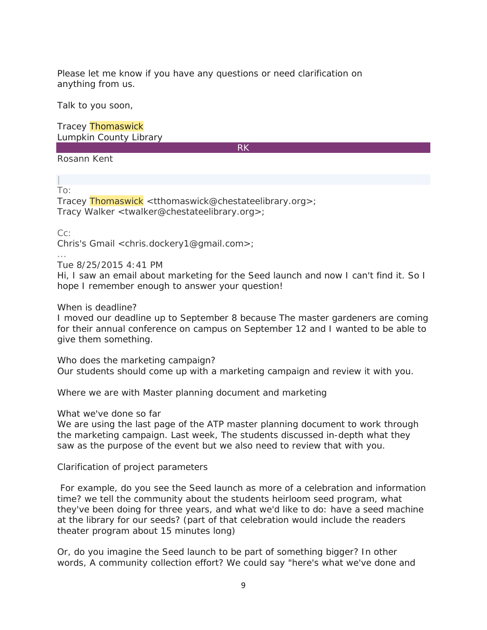Please let me know if you have any questions or need clarification on anything from us.

Talk to you soon,

Tracey Thomaswick Lumpkin County Library

RK

Rosann Kent

| To:

Tracey Thomaswick <tthomaswick@chestateelibrary.org>; Tracy Walker <twalker@chestateelibrary.org>;

Cc:

...

Chris's Gmail <chris.dockery1@gmail.com>;

### Tue 8/25/2015 4:41 PM

Hi, I saw an email about marketing for the Seed launch and now I can't find it. So I hope I remember enough to answer your question!

When is deadline?

I moved our deadline up to September 8 because The master gardeners are coming for their annual conference on campus on September 12 and I wanted to be able to give them something.

Who does the marketing campaign? Our students should come up with a marketing campaign and review it with you.

Where we are with Master planning document and marketing

What we've done so far

We are using the last page of the ATP master planning document to work through the marketing campaign. Last week, The students discussed in-depth what they saw as the purpose of the event but we also need to review that with you.

Clarification of project parameters

For example, do you see the Seed launch as more of a celebration and information time? we tell the community about the students heirloom seed program, what they've been doing for three years, and what we'd like to do: have a seed machine at the library for our seeds? (part of that celebration would include the readers theater program about 15 minutes long)

Or, do you imagine the Seed launch to be part of something bigger? In other words, A community collection effort? We could say "here's what we've done and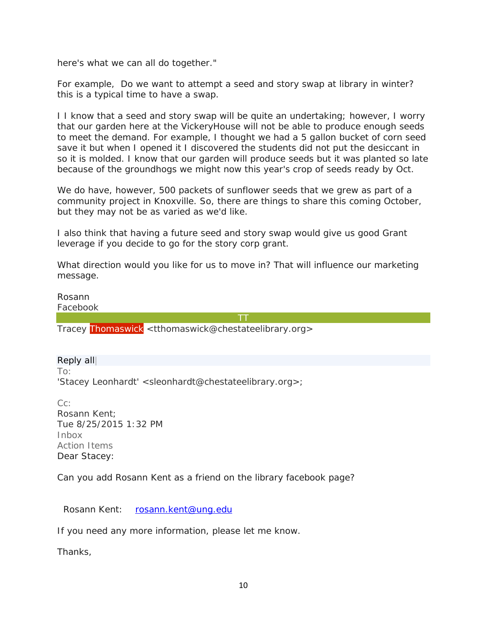here's what we can all do together."

For example, Do we want to attempt a seed and story swap at library in winter? this is a typical time to have a swap.

I I know that a seed and story swap will be quite an undertaking; however, I worry that our garden here at the VickeryHouse will not be able to produce enough seeds to meet the demand. For example, I thought we had a 5 gallon bucket of corn seed save it but when I opened it I discovered the students did not put the desiccant in so it is molded. I know that our garden will produce seeds but it was planted so late because of the groundhogs we might now this year's crop of seeds ready by Oct.

We do have, however, 500 packets of sunflower seeds that we grew as part of a community project in Knoxville. So, there are things to share this coming October, but they may not be as varied as we'd like.

I also think that having a future seed and story swap would give us good Grant leverage if you decide to go for the story corp grant.

What direction would you like for us to move in? That will influence our marketing message.

Rosann

Facebook

TT

Tracey Thomaswick <tthomaswick@chestateelibrary.org>

Reply all| To: 'Stacey Leonhardt' <sleonhardt@chestateelibrary.org>;

Cc: Rosann Kent; Tue 8/25/2015 1:32 PM Inbox Action Items Dear Stacey:

Can you add Rosann Kent as a friend on the library facebook page?

Rosann Kent: [rosann.kent@ung.edu](mailto:rosann.kent@ung.edu)

If you need any more information, please let me know.

Thanks,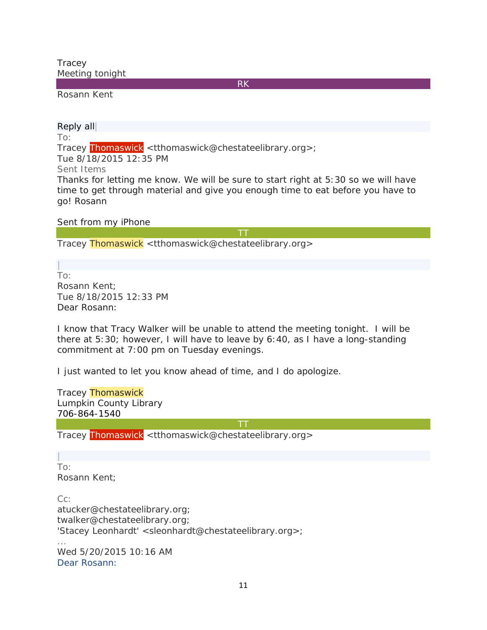**Tracey** Meeting tonight

RK

Rosann Kent

Reply all|

To:

Tracey Thomaswick <tthomaswick@chestateelibrary.org>;

Tue 8/18/2015 12:35 PM

Sent Items

Thanks for letting me know. We will be sure to start right at 5:30 so we will have time to get through material and give you enough time to eat before you have to go! Rosann

Sent from my iPhone

TT

Tracey Thomaswick <tthomaswick@chestateelibrary.org>

| To: Rosann Kent; Tue 8/18/2015 12:33 PM Dear Rosann:

I know that Tracy Walker will be unable to attend the meeting tonight. I will be there at 5:30; however, I will have to leave by 6:40, as I have a long-standing commitment at 7:00 pm on Tuesday evenings.

I just wanted to let you know ahead of time, and I do apologize.

Tracey Thomaswick Lumpkin County Library 706-864-1540

TT

Tracey Thomaswick <tthomaswick@chestateelibrary.org>

| To: Rosann Kent;

...

Cc: atucker@chestateelibrary.org; twalker@chestateelibrary.org; 'Stacey Leonhardt' <sleonhardt@chestateelibrary.org>;

Wed 5/20/2015 10:16 AM Dear Rosann: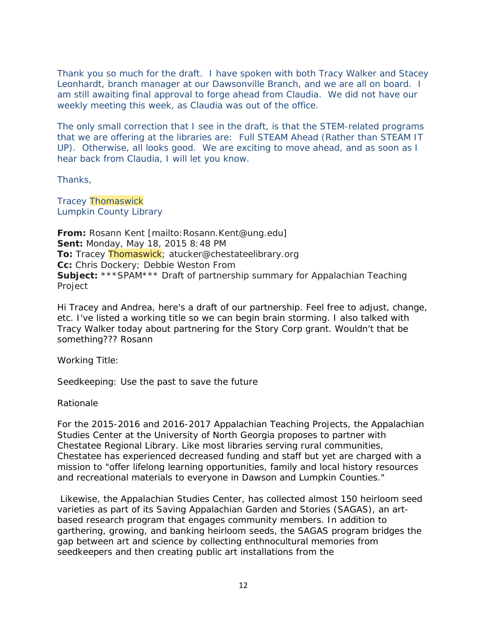Thank you so much for the draft. I have spoken with both Tracy Walker and Stacey Leonhardt, branch manager at our Dawsonville Branch, and we are all on board. I am still awaiting final approval to forge ahead from Claudia. We did not have our weekly meeting this week, as Claudia was out of the office.

The only small correction that I see in the draft, is that the STEM-related programs that we are offering at the libraries are: Full STEAM Ahead (Rather than STEAM IT UP). Otherwise, all looks good. We are exciting to move ahead, and as soon as I hear back from Claudia, I will let you know.

Thanks,

Tracey Thomaswick Lumpkin County Library

From: Rosann Kent [mailto: Rosann.Kent@ung.edu] **Sent:** Monday, May 18, 2015 8:48 PM **To:** Tracey Thomaswick; atucker@chestateelibrary.org **Cc:** Chris Dockery; Debbie Weston From **Subject:** \*\*\*SPAM\*\*\* Draft of partnership summary for Appalachian Teaching Project

Hi Tracey and Andrea, here's a draft of our partnership. Feel free to adjust, change, etc. I've listed a working title so we can begin brain storming. I also talked with Tracy Walker today about partnering for the Story Corp grant. Wouldn't that be something??? Rosann

Working Title:

Seedkeeping: Use the past to save the future

Rationale

For the 2015-2016 and 2016-2017 Appalachian Teaching Projects, the Appalachian Studies Center at the University of North Georgia proposes to partner with Chestatee Regional Library. Like most libraries serving rural communities, Chestatee has experienced decreased funding and staff but yet are charged with a mission to "offer lifelong learning opportunities, family and local history resources and recreational materials to everyone in Dawson and Lumpkin Counties."

Likewise, the Appalachian Studies Center, has collected almost 150 heirloom seed varieties as part of its Saving Appalachian Garden and Stories (SAGAS), an artbased research program that engages community members. In addition to garthering, growing, and banking heirloom seeds, the SAGAS program bridges the gap between art and science by collecting enthnocultural memories from seedkeepers and then creating public art installations from the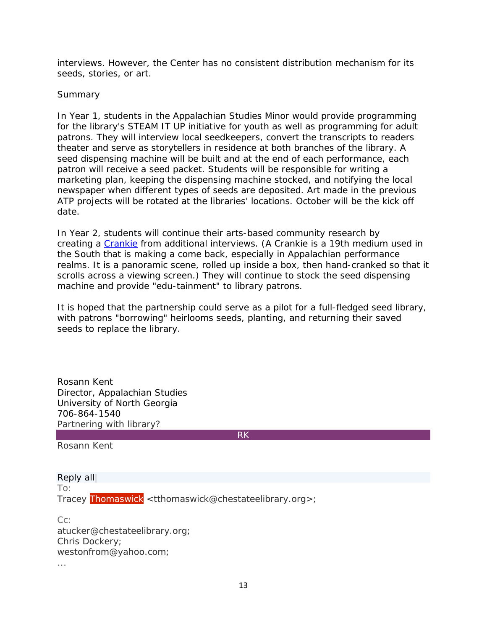interviews. However, the Center has no consistent distribution mechanism for its seeds, stories, or art.

### Summary

In Year 1, students in the Appalachian Studies Minor would provide programming for the library's STEAM IT UP initiative for youth as well as programming for adult patrons. They will interview local seedkeepers, convert the transcripts to readers theater and serve as storytellers in residence at both branches of the library. A seed dispensing machine will be built and at the end of each performance, each patron will receive a seed packet. Students will be responsible for writing a marketing plan, keeping the dispensing machine stocked, and notifying the local newspaper when different types of seeds are deposited. Art made in the previous ATP projects will be rotated at the libraries' locations. October will be the kick off date.

In Year 2, students will continue their arts-based community research by creating a [Crankie](http://www.thecrankiefactory.com/) from additional interviews. (A Crankie is a 19th medium used in the South that is making a come back, especially in Appalachian performance realms. It is a panoramic scene, rolled up inside a box, then hand-cranked so that it scrolls across a viewing screen.) They will continue to stock the seed dispensing machine and provide "edu-tainment" to library patrons.

It is hoped that the partnership could serve as a pilot for a full-fledged seed library, with patrons "borrowing" heirlooms seeds, planting, and returning their saved seeds to replace the library.

Rosann Kent Director, Appalachian Studies University of North Georgia 706-864-1540 Partnering with library?

RK

Rosann Kent

Reply all| To: Tracey Thomaswick <tthomaswick@chestateelibrary.org>;

Cc: atucker@chestateelibrary.org; Chris Dockery; westonfrom@yahoo.com; ...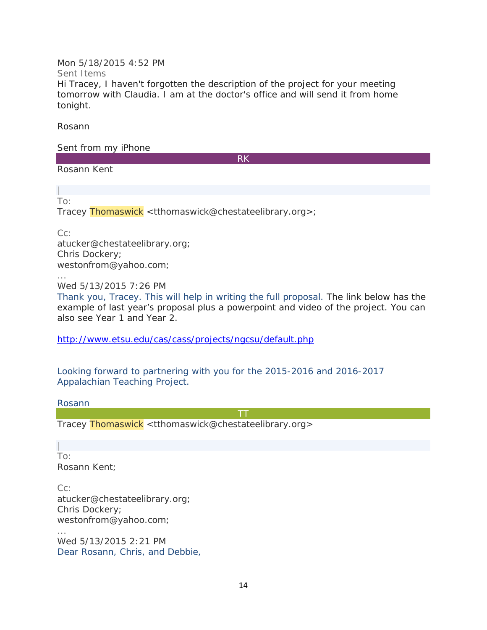Mon 5/18/2015 4:52 PM Sent Items

Hi Tracey, I haven't forgotten the description of the project for your meeting tomorrow with Claudia. I am at the doctor's office and will send it from home tonight.

Rosann

Sent from my iPhone

RK

Rosann Kent

| To:

Tracey Thomaswick <tthomaswick@chestateelibrary.org>;

Cc:

atucker@chestateelibrary.org; Chris Dockery; westonfrom@yahoo.com;

Wed 5/13/2015 7:26 PM

Thank you, Tracey. This will help in writing the full proposal. The link below has the example of last year's proposal plus a powerpoint and video of the project. You can also see Year 1 and Year 2.

<http://www.etsu.edu/cas/cass/projects/ngcsu/default.php>

Looking forward to partnering with you for the 2015-2016 and 2016-2017 Appalachian Teaching Project.

Rosann

**TT** and the second second the second second second second second second second second second second second second second second second second second second second second second second second second second second second se

Tracey Thomaswick <tthomaswick@chestateelibrary.org>

| To: Rosann Kent;

Cc: atucker@chestateelibrary.org; Chris Dockery; westonfrom@yahoo.com; ...

Wed 5/13/2015 2:21 PM Dear Rosann, Chris, and Debbie,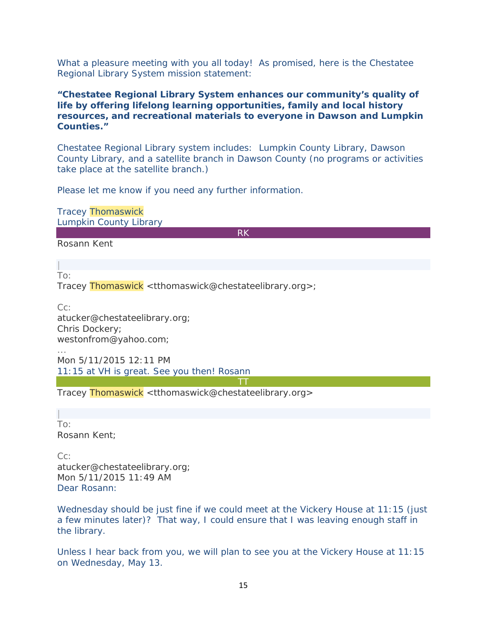What a pleasure meeting with you all today! As promised, here is the Chestatee Regional Library System mission statement:

### *"Chestatee Regional Library System enhances our community's quality of life by offering lifelong learning opportunities, family and local history resources, and recreational materials to everyone in Dawson and Lumpkin Counties."*

Chestatee Regional Library system includes: Lumpkin County Library, Dawson County Library, and a satellite branch in Dawson County (no programs or activities take place at the satellite branch.)

Please let me know if you need any further information.

Tracey Thomaswick Lumpkin County Library

RK

Rosann Kent

| To:

...

Tracey Thomaswick <tthomaswick@chestateelibrary.org>;

Cc: atucker@chestateelibrary.org; Chris Dockery; westonfrom@yahoo.com;

Mon 5/11/2015 12:11 PM 11:15 at VH is great. See you then! Rosann

TT

Tracey Thomaswick <tthomaswick@chestateelibrary.org>

| To: Rosann Kent;

Cc: atucker@chestateelibrary.org; Mon 5/11/2015 11:49 AM Dear Rosann:

Wednesday should be just fine if we could meet at the Vickery House at 11:15 (just a few minutes later)? That way, I could ensure that I was leaving enough staff in the library.

Unless I hear back from you, we will plan to see you at the Vickery House at 11:15 on Wednesday, May 13.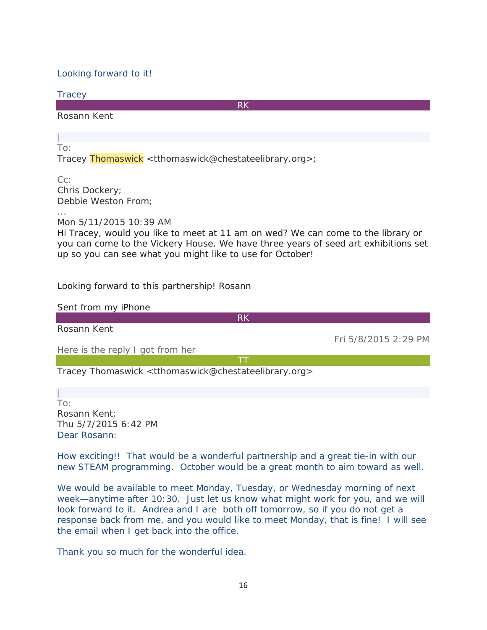### Looking forward to it!

**Tracey** 

RK

Rosann Kent

| To:

Tracey Thomaswick <tthomaswick@chestateelibrary.org>;

Cc: Chris Dockery; Debbie Weston From;

...

Mon 5/11/2015 10:39 AM

Hi Tracey, would you like to meet at 11 am on wed? We can come to the library or you can come to the Vickery House. We have three years of seed art exhibitions set up so you can see what you might like to use for October!

Looking forward to this partnership! Rosann

Sent from my iPhone RK Rosann Kent Fri 5/8/2015 2:29 PM Here is the reply I got from her TT

Tracey Thomaswick <tthomaswick@chestateelibrary.org>

| To: Rosann Kent; Thu 5/7/2015 6:42 PM Dear Rosann:

How exciting!! That would be a wonderful partnership and a great tie-in with our new STEAM programming. October would be a great month to aim toward as well.

We would be available to meet Monday, Tuesday, or Wednesday morning of next week—anytime after 10:30. Just let us know what might work for you, and we will look forward to it. Andrea and I are both off tomorrow, so if you do not get a response back from me, and you would like to meet Monday, that is fine! I will see the email when I get back into the office.

Thank you so much for the wonderful idea.